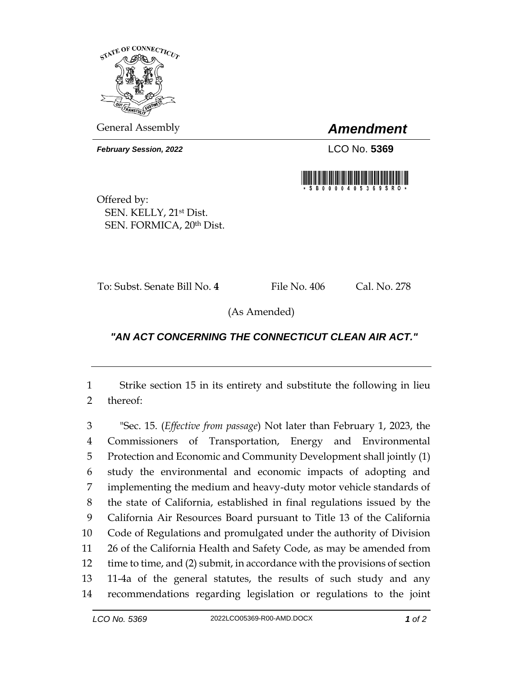

General Assembly *Amendment*

*February Session, 2022* LCO No. **5369**



Offered by: SEN. KELLY, 21st Dist. SEN. FORMICA, 20th Dist.

To: Subst. Senate Bill No. **4** File No. 406 Cal. No. 278

(As Amended)

## *"AN ACT CONCERNING THE CONNECTICUT CLEAN AIR ACT."*

 Strike section 15 in its entirety and substitute the following in lieu thereof:

 "Sec. 15. (*Effective from passage*) Not later than February 1, 2023, the Commissioners of Transportation, Energy and Environmental Protection and Economic and Community Development shall jointly (1) study the environmental and economic impacts of adopting and implementing the medium and heavy-duty motor vehicle standards of the state of California, established in final regulations issued by the California Air Resources Board pursuant to Title 13 of the California Code of Regulations and promulgated under the authority of Division 26 of the California Health and Safety Code, as may be amended from time to time, and (2) submit, in accordance with the provisions of section 11-4a of the general statutes, the results of such study and any recommendations regarding legislation or regulations to the joint